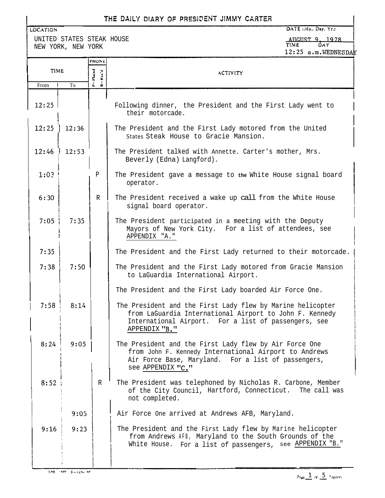# THE DAILY DIARY OF PRESIDENT JIMMY CARTER

UNITED STATES STEAK HOUSE NEW YORK, NEW YORK

LOCATION

DATE (Mo., Day, Yr.) AUGUST 9, 1978

|       |       |                        | TC:TJ g.M.MCDNCODYW                                                                                                                                                                            |  |  |  |
|-------|-------|------------------------|------------------------------------------------------------------------------------------------------------------------------------------------------------------------------------------------|--|--|--|
|       |       | <b>PHONE</b>           |                                                                                                                                                                                                |  |  |  |
| TIME  |       | $P - P$ laced<br>Rec'd | <b>ACTIVITY</b>                                                                                                                                                                                |  |  |  |
| From  | To    | - 21                   |                                                                                                                                                                                                |  |  |  |
|       |       |                        |                                                                                                                                                                                                |  |  |  |
| 12:25 |       |                        | Following dinner, the President and the First Lady went to<br>their motorcade.                                                                                                                 |  |  |  |
| 12:25 | 12:36 |                        | The President and the First Lady motored from the United<br>States Steak House to Gracie Mansion.                                                                                              |  |  |  |
| 12:46 | 12:53 |                        | The President talked with Annette. Carter's mother, Mrs.<br>Beverly (Edna) Langford).                                                                                                          |  |  |  |
| 1:03  |       | P                      | The President gave a message to the White House signal board<br>operator.                                                                                                                      |  |  |  |
| 6:30  |       | $\mathbb{R}$           | The President received a wake up call from the White House<br>signal board operator.                                                                                                           |  |  |  |
| 7:05  | 7:35  |                        | The President participated in a meeting with the Deputy<br>Mayors of New York City. For a list of attendees, see<br>APPENDIX "A."                                                              |  |  |  |
| 7:35  |       |                        | The President and the First Lady returned to their motorcade.                                                                                                                                  |  |  |  |
| 7:38  | 7:50  |                        | The President and the First Lady motored from Gracie Mansion<br>to LaGuardia International Airport.                                                                                            |  |  |  |
|       |       |                        | The President and the First Lady boarded Air Force One.                                                                                                                                        |  |  |  |
| 7:58  | 8:14  |                        | The President and the First Lady flew by Marine helicopter<br>from LaGuardia International Airport to John F. Kennedy<br>International Airport. For a list of passengers, see<br>APPENDIX "B." |  |  |  |
| 8:24  | 9:05  |                        | The President and the First Lady flew by Air Force One<br>from John F. Kennedy International Airport to Andrews<br>Air Force Base, Maryland. For a list of passengers,<br>see APPENDIX "C."    |  |  |  |
| 8:52  |       | R                      | The President was telephoned by Nicholas R. Carbone, Member<br>of the City Council, Hartford, Connecticut.<br>The call was<br>not completed.                                                   |  |  |  |
|       | 9:05  |                        | Air Force One arrived at Andrews AFB, Maryland.                                                                                                                                                |  |  |  |
| 9:16  | 9:23  |                        | The President and the First Lady flew by Marine helicopter<br>from Andrews AFB, Maryland to the South Grounds of the<br>White House. For a list of passengers, see APPENDIX "B."               |  |  |  |
|       |       |                        |                                                                                                                                                                                                |  |  |  |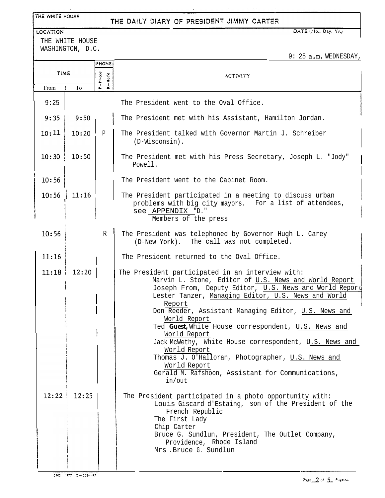#### THE WHITE HOUSE

### THE DAILY DIARY OF PRESIDENT JIMMY CARTER

 $\omega = \omega$  .

#### LOCATION

THE WHITE HOUSE WASHINGTON, D.C. DATE (Mo., Day, Yr.)

9: 25 a.m. WEDNESDAY,

|       |       | <b>PHONE</b>                  |                                                                                                                                                                                                                                                                                                                                                                                                                                                                                                                                                                                                   |  |  |  |  |
|-------|-------|-------------------------------|---------------------------------------------------------------------------------------------------------------------------------------------------------------------------------------------------------------------------------------------------------------------------------------------------------------------------------------------------------------------------------------------------------------------------------------------------------------------------------------------------------------------------------------------------------------------------------------------------|--|--|--|--|
| TIME  |       | $P = P1$ laced<br>$R - Rec'd$ | <b>ACTIVITY</b>                                                                                                                                                                                                                                                                                                                                                                                                                                                                                                                                                                                   |  |  |  |  |
| From  | To    |                               |                                                                                                                                                                                                                                                                                                                                                                                                                                                                                                                                                                                                   |  |  |  |  |
| 9:25  |       |                               | The President went to the Oval Office.                                                                                                                                                                                                                                                                                                                                                                                                                                                                                                                                                            |  |  |  |  |
| 9:35  | 9:50  |                               | The President met with his Assistant, Hamilton Jordan.                                                                                                                                                                                                                                                                                                                                                                                                                                                                                                                                            |  |  |  |  |
| 10:11 | 10:20 | $\mathbf P$                   | The President talked with Governor Martin J. Schreiber<br>$(D-Wiscosin)$ .                                                                                                                                                                                                                                                                                                                                                                                                                                                                                                                        |  |  |  |  |
| 10:30 | 10:50 |                               | The President met with his Press Secretary, Joseph L. "Jody"<br>Powell.                                                                                                                                                                                                                                                                                                                                                                                                                                                                                                                           |  |  |  |  |
| 10:56 |       |                               | The President went to the Cabinet Room.                                                                                                                                                                                                                                                                                                                                                                                                                                                                                                                                                           |  |  |  |  |
| 10:56 | 11:16 |                               | The President participated in a meeting to discuss urban<br>problems with big city mayors. For a list of attendees,<br>see APPENDIX "D."<br>Members of the press                                                                                                                                                                                                                                                                                                                                                                                                                                  |  |  |  |  |
| 10:56 |       | $\mathbb{R}$                  | The President was telephoned by Governor Hugh L. Carey<br>(D-New York). The call was not completed.                                                                                                                                                                                                                                                                                                                                                                                                                                                                                               |  |  |  |  |
| 11:16 |       |                               | The President returned to the Oval Office.                                                                                                                                                                                                                                                                                                                                                                                                                                                                                                                                                        |  |  |  |  |
| 11:18 | 12:20 |                               | The President participated in an interview with:<br>Marvin L. Stone, Editor of U.S. News and World Report<br>Joseph From, Deputy Editor, U.S. News and World Report<br>Lester Tanzer, Managing Editor, U.S. News and World<br>Report<br>Don Reeder, Assistant Managing Editor, U.S. News and<br>World Report<br>Ted Guest, White House correspondent, U.S. News and<br>World Report<br>Jack McWethy, White House correspondent, U.S. News and<br>World Report<br>Thomas J. O'Halloran, Photographer, U.S. News and<br>World Report<br>Gerald M. Rafshoon, Assistant for Communications,<br>in/out |  |  |  |  |
| 12:22 | 12:25 |                               | The President participated in a photo opportunity with:<br>Louis Giscard d'Estaing, son of the President of the<br>French Republic<br>The First Lady<br>Chip Carter<br>Bruce G. Sundlun, President, The Outlet Company,<br>Providence, Rhode Island<br>Mrs . Bruce G. Sundlun                                                                                                                                                                                                                                                                                                                     |  |  |  |  |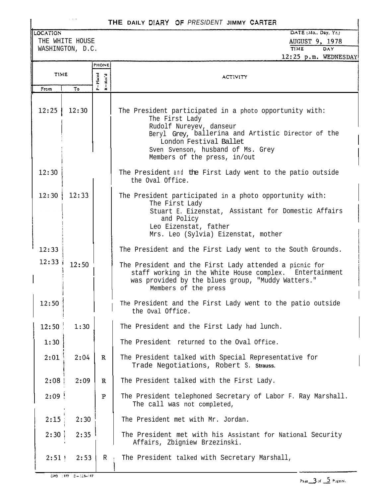## **THE DAILY** D!ARY *3F PRESIDENT* **JIMMY CARTEFi**

LOCATION THE WHITE HOUSE

WASHINGTON, D.C.

|             |       | PHONE                  |                                                                                                                                                                                                                                                           |  |  |  |  |
|-------------|-------|------------------------|-----------------------------------------------------------------------------------------------------------------------------------------------------------------------------------------------------------------------------------------------------------|--|--|--|--|
| <b>TIME</b> |       | $P = P$ laced<br>Rec'd | <b>ACTIVITY</b>                                                                                                                                                                                                                                           |  |  |  |  |
| From        | To    | $\dot{z}$              |                                                                                                                                                                                                                                                           |  |  |  |  |
| 12:25       | 12:30 |                        | The President participated in a photo opportunity with:<br>The First Lady<br>Rudolf Nureyev, danseur<br>Beryl Grey, ballerina and Artistic Director of the<br>London Festival Ballet<br>Sven Svenson, husband of Ms. Grey<br>Members of the press, in/out |  |  |  |  |
| 12:30       |       |                        | The President and the First Lady went to the patio outside<br>the Oval Office.                                                                                                                                                                            |  |  |  |  |
| 12:30       | 12:33 |                        | The President participated in a photo opportunity with:<br>The First Lady<br>Stuart E. Eizenstat, Assistant for Domestic Affairs<br>and Policy<br>Leo Eizenstat, father<br>Mrs. Leo (Sylvia) Eizenstat, mother                                            |  |  |  |  |
| 12:33       |       |                        | The President and the First Lady went to the South Grounds.                                                                                                                                                                                               |  |  |  |  |
| 12:33       | 12:50 |                        | The President and the First Lady attended a picnic for<br>staff working in the White House complex. Entertainment<br>was provided by the blues group, "Muddy Watters."<br>Members of the press                                                            |  |  |  |  |
| 12:50       |       |                        | The President and the First Lady went to the patio outside<br>the Oval Office.                                                                                                                                                                            |  |  |  |  |
| 12:50       | 1:30  |                        | The President and the First Lady had lunch.                                                                                                                                                                                                               |  |  |  |  |
| 1:30        |       |                        | The President returned to the Oval Office.                                                                                                                                                                                                                |  |  |  |  |
| 2:01        | 2:04  | $\mathbf R$            | The President talked with Special Representative for<br>Trade Negotiations, Robert S. Strauss.                                                                                                                                                            |  |  |  |  |
| 2:08        | 2:09  | $\mathbf R$            | The President talked with the First Lady.                                                                                                                                                                                                                 |  |  |  |  |
| 2:09        |       | ${\bf P}$              | The President telephoned Secretary of Labor F. Ray Marshall.<br>The call was not completed,                                                                                                                                                               |  |  |  |  |
| 2:15        | 2:30  |                        | The President met with Mr. Jordan.                                                                                                                                                                                                                        |  |  |  |  |
| 2:30        | 2:35  |                        | The President met with his Assistant for National Security<br>Affairs, Zbigniew Brzezinski.                                                                                                                                                               |  |  |  |  |
| $2:51 +$    | 2:53  | R                      | The President talked with Secretary Marshall,                                                                                                                                                                                                             |  |  |  |  |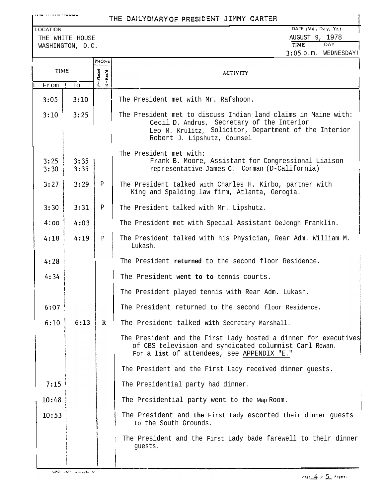v,-- .v..-.- - .V"Yb

### THE DAILYDIARY OF PRESIDENT JIMMY CARTER

m

THE WHITE HOUSE THE WHITE HOUSE AUGUST 9, 1978 WASHINGTON, D.C.

| The President met with Mr. Rafshoon.                                                                                                                                                                 |  |  |  |
|------------------------------------------------------------------------------------------------------------------------------------------------------------------------------------------------------|--|--|--|
| The President met to discuss Indian land claims in Maine with:<br>Cecil D. Andrus, Secretary of the Interior<br>Leo M. Krulitz, Solicitor, Department of the Interior<br>Robert J. Lipshutz, Counsel |  |  |  |
| The President met with:<br>Frank B. Moore, Assistant for Congressional Liaison<br>representative James C. Corman (D-California)                                                                      |  |  |  |
| The President talked with Charles H. Kirbo, partner with<br>King and Spalding law firm, Atlanta, Gerogia.                                                                                            |  |  |  |
| The President talked with Mr. Lipshutz.                                                                                                                                                              |  |  |  |
| The President met with Special Assistant DeJongh Franklin.                                                                                                                                           |  |  |  |
| The President talked with his Physician, Rear Adm. William M.<br>Lukash.                                                                                                                             |  |  |  |
| The President returned to the second floor Residence.                                                                                                                                                |  |  |  |
| The President went to to tennis courts.                                                                                                                                                              |  |  |  |
| The President played tennis with Rear Adm. Lukash.                                                                                                                                                   |  |  |  |
| The President returned to the second floor Residence.                                                                                                                                                |  |  |  |
| The President talked with Secretary Marshall.                                                                                                                                                        |  |  |  |
| The President and the First Lady hosted a dinner for executives<br>of CBS television and syndicated columnist Carl Rowan.<br>For a list of attendees, see APPENDIX "E."                              |  |  |  |
| The President and the First Lady received dinner guests.                                                                                                                                             |  |  |  |
| The Presidential party had dinner.                                                                                                                                                                   |  |  |  |
| The Presidential party went to the Map Room.                                                                                                                                                         |  |  |  |
| The President and the First Lady escorted their dinner guests<br>to the South Grounds.                                                                                                               |  |  |  |
| The President and the First Lady bade farewell to their dinner<br>guests.                                                                                                                            |  |  |  |
|                                                                                                                                                                                                      |  |  |  |

! I